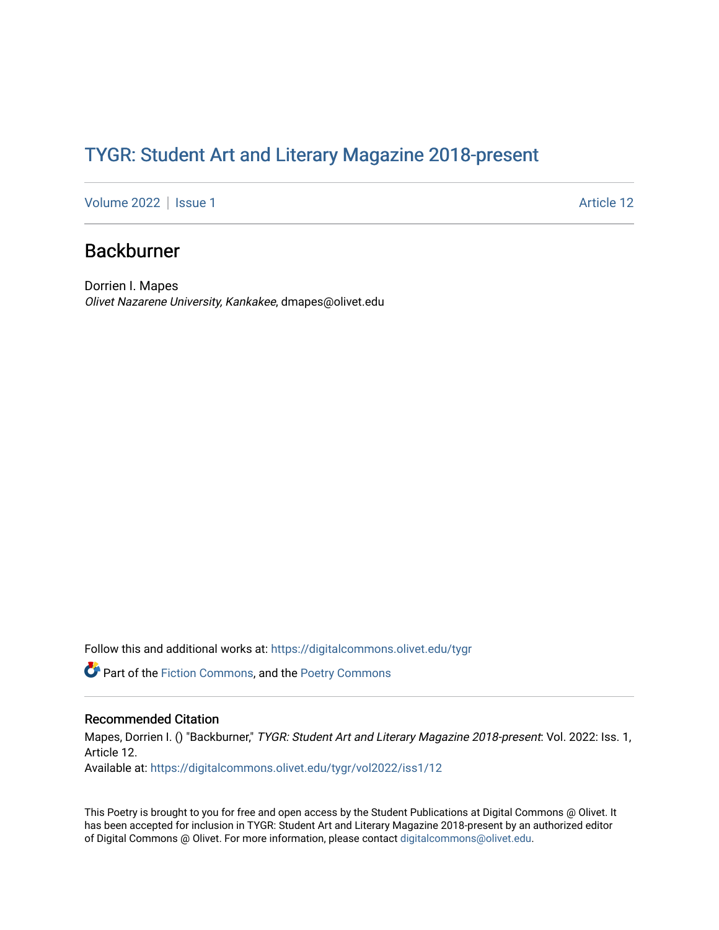## TYGR: Student Art and Literary Magazine 2018-present

[Volume 2022](https://digitalcommons.olivet.edu/tygr/vol2022) | [Issue 1](https://digitalcommons.olivet.edu/tygr/vol2022/iss1) Article 12

## Backburner

Dorrien I. Mapes Olivet Nazarene University, Kankakee, dmapes@olivet.edu

Follow this and additional works at: [https://digitalcommons.olivet.edu/tygr](https://digitalcommons.olivet.edu/tygr?utm_source=digitalcommons.olivet.edu%2Ftygr%2Fvol2022%2Fiss1%2F12&utm_medium=PDF&utm_campaign=PDFCoverPages)

**C** Part of the [Fiction Commons,](http://network.bepress.com/hgg/discipline/1151?utm_source=digitalcommons.olivet.edu%2Ftygr%2Fvol2022%2Fiss1%2F12&utm_medium=PDF&utm_campaign=PDFCoverPages) and the [Poetry Commons](http://network.bepress.com/hgg/discipline/1153?utm_source=digitalcommons.olivet.edu%2Ftygr%2Fvol2022%2Fiss1%2F12&utm_medium=PDF&utm_campaign=PDFCoverPages)

## Recommended Citation

Mapes, Dorrien I. () "Backburner," TYGR: Student Art and Literary Magazine 2018-present: Vol. 2022: Iss. 1, Article 12.

Available at: [https://digitalcommons.olivet.edu/tygr/vol2022/iss1/12](https://digitalcommons.olivet.edu/tygr/vol2022/iss1/12?utm_source=digitalcommons.olivet.edu%2Ftygr%2Fvol2022%2Fiss1%2F12&utm_medium=PDF&utm_campaign=PDFCoverPages) 

This Poetry is brought to you for free and open access by the Student Publications at Digital Commons @ Olivet. It has been accepted for inclusion in TYGR: Student Art and Literary Magazine 2018-present by an authorized editor of Digital Commons @ Olivet. For more information, please contact [digitalcommons@olivet.edu.](mailto:digitalcommons@olivet.edu)